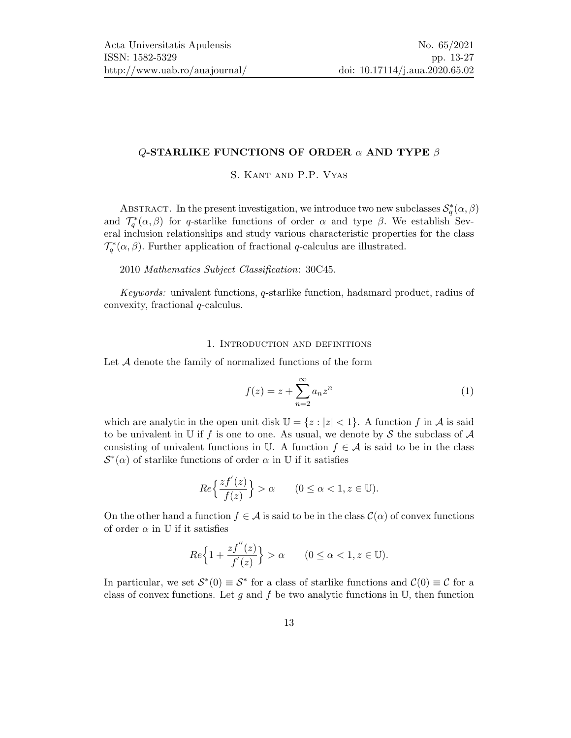## Q-STARLIKE FUNCTIONS OF ORDER  $\alpha$  AND TYPE  $\beta$

S. Kant and P.P. Vyas

ABSTRACT. In the present investigation, we introduce two new subclasses  $\mathcal{S}_q^*(\alpha,\beta)$ and  $\mathcal{T}_{q}^{*}(\alpha,\beta)$  for q-starlike functions of order  $\alpha$  and type  $\beta$ . We establish Several inclusion relationships and study various characteristic properties for the class  $\mathcal{T}_q^*(\alpha,\beta)$ . Further application of fractional q-calculus are illustrated.

#### 2010 Mathematics Subject Classification: 30C45.

Keywords: univalent functions, q-starlike function, hadamard product, radius of convexity, fractional q-calculus.

#### 1. Introduction and definitions

Let  $A$  denote the family of normalized functions of the form

$$
f(z) = z + \sum_{n=2}^{\infty} a_n z^n
$$
 (1)

which are analytic in the open unit disk  $\mathbb{U} = \{z : |z| < 1\}$ . A function f in A is said to be univalent in U if f is one to one. As usual, we denote by S the subclass of  $\mathcal A$ consisting of univalent functions in U. A function  $f \in \mathcal{A}$  is said to be in the class  $\mathcal{S}^*(\alpha)$  of starlike functions of order  $\alpha$  in U if it satisfies

$$
Re\left\{\frac{zf'(z)}{f(z)}\right\} > \alpha \qquad (0 \le \alpha < 1, z \in \mathbb{U}).
$$

On the other hand a function  $f \in \mathcal{A}$  is said to be in the class  $\mathcal{C}(\alpha)$  of convex functions of order  $\alpha$  in U if it satisfies

$$
Re\Big\{1+\frac{zf^{''}(z)}{f^{'}(z)}\Big\}>\alpha\qquad(0\leq\alpha<1, z\in\mathbb{U}).
$$

In particular, we set  $\mathcal{S}^*(0) \equiv \mathcal{S}^*$  for a class of starlike functions and  $\mathcal{C}(0) \equiv \mathcal{C}$  for a class of convex functions. Let g and f be two analytic functions in  $\mathbb{U}$ , then function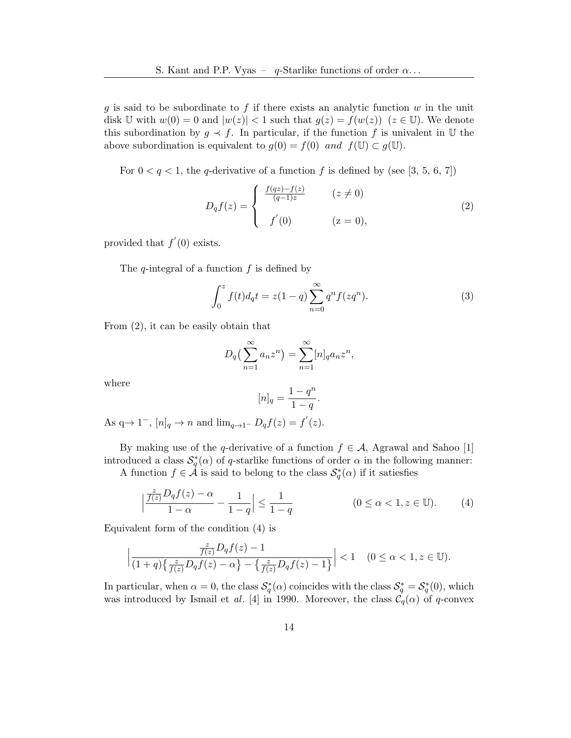g is said to be subordinate to f if there exists an analytic function  $w$  in the unit disk U with  $w(0) = 0$  and  $|w(z)| < 1$  such that  $g(z) = f(w(z))$   $(z \in \mathbb{U})$ . We denote this subordination by  $g \prec f$ . In particular, if the function f is univalent in U the above subordination is equivalent to  $g(0) = f(0)$  and  $f(\mathbb{U}) \subset g(\mathbb{U})$ .

For  $0 < q < 1$ , the q-derivative of a function f is defined by (see [\[3,](#page-13-0) [5,](#page-13-1) [6,](#page-13-2) [7\]](#page-13-3))

<span id="page-1-0"></span>
$$
D_q f(z) = \begin{cases} \frac{f(qz) - f(z)}{(q-1)z} & (z \neq 0) \\ f'(0) & (z = 0), \end{cases}
$$
 (2)

provided that  $f'(0)$  exists.

The  $q$ -integral of a function  $f$  is defined by

$$
\int_0^z f(t)d_qt = z(1-q)\sum_{n=0}^\infty q^n f(zq^n).
$$
 (3)

From [\(2\)](#page-1-0), it can be easily obtain that

$$
D_q\left(\sum_{n=1}^{\infty} a_n z^n\right) = \sum_{n=1}^{\infty} [n]_q a_n z^n,
$$

where

<span id="page-1-1"></span> $\overline{\phantom{a}}$ I  $\overline{\phantom{a}}$ 

$$
[n]_q = \frac{1 - q^n}{1 - q}.
$$

As  $q \to 1^-$ ,  $[n]_q \to n$  and  $\lim_{q \to 1^-} D_q f(z) = f'(z)$ .

By making use of the q-derivative of a function  $f \in \mathcal{A}$ , Agrawal and Sahoo [\[1\]](#page-13-4) introduced a class  $\mathcal{S}_q^*(\alpha)$  of q-starlike functions of order  $\alpha$  in the following manner: A function  $f \in \mathcal{A}$  is said to belong to the class  $\mathcal{S}_q^*(\alpha)$  if it satiesfies

$$
\frac{\frac{z}{f(z)}D_qf(z) - \alpha}{1 - \alpha} - \frac{1}{1 - q} \le \frac{1}{1 - q} \qquad (0 \le \alpha < 1, z \in \mathbb{U}).\tag{4}
$$

Equivalent form of the condition [\(4\)](#page-1-1) is

$$
\left|\frac{\frac{z}{f(z)}D_qf(z)-1}{(1+q)\{\frac{z}{f(z)}D_qf(z)-\alpha\}-\{\frac{z}{f(z)}D_qf(z)-1\}}\right|<1 \quad (0\leq \alpha<1, z\in\mathbb{U}).
$$

In particular, when  $\alpha = 0$ , the class  $S_q^*(\alpha)$  coincides with the class  $S_q^* = S_q^*(0)$ , which was introduced by Ismail et al. [\[4\]](#page-13-5) in 1990. Moreover, the class  $\mathcal{C}_q(\alpha)$  of q-convex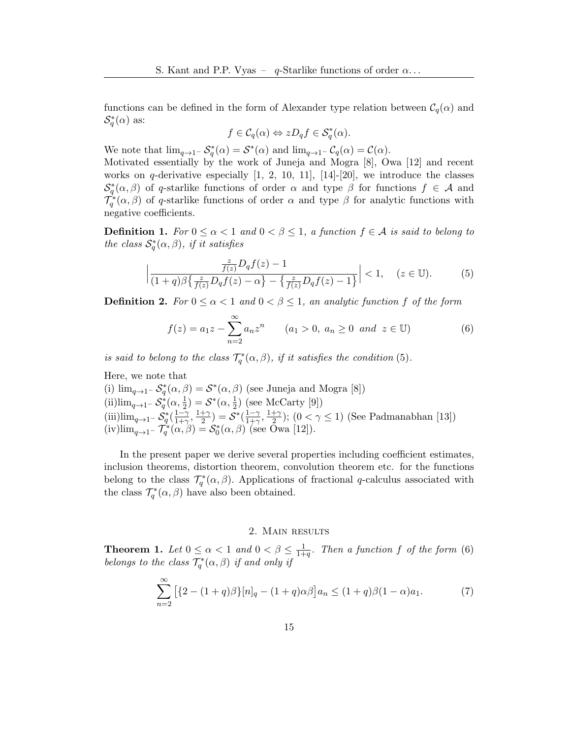functions can be defined in the form of Alexander type relation between  $\mathcal{C}_q(\alpha)$  and  $\mathcal{S}_q^*(\alpha)$  as:

$$
f \in \mathcal{C}_q(\alpha) \Leftrightarrow zD_q f \in \mathcal{S}_q^*(\alpha).
$$

We note that  $\lim_{q \to 1^-} S_q^*(\alpha) = S^*(\alpha)$  and  $\lim_{q \to 1^-} C_q(\alpha) = C(\alpha)$ .

Motivated essentially by the work of Juneja and Mogra [\[8\]](#page-13-6), Owa [\[12\]](#page-14-1) and recent works on q-derivative especially  $[1, 2, 10, 11]$  $[1, 2, 10, 11]$  $[1, 2, 10, 11]$  $[1, 2, 10, 11]$ ,  $[14]-[20]$  $[14]-[20]$ , we introduce the classes  $\mathcal{S}_q^*(\alpha,\beta)$  of q-starlike functions of order  $\alpha$  and type  $\beta$  for functions  $f \in \mathcal{A}$  and  $\mathcal{T}_q^*(\alpha,\beta)$  of q-starlike functions of order  $\alpha$  and type  $\beta$  for analytic functions with negative coefficients.

**Definition 1.** For  $0 \le \alpha < 1$  and  $0 < \beta \le 1$ , a function  $f \in \mathcal{A}$  is said to belong to the class  $S_q^*(\alpha, \beta)$ , if it satisfies

<span id="page-2-0"></span>
$$
\left|\frac{\frac{z}{f(z)}D_qf(z)-1}{(1+q)\beta\left\{\frac{z}{f(z)}D_qf(z)-\alpha\right\}-\left\{\frac{z}{f(z)}D_qf(z)-1\right\}}\right|<1,\quad (z\in\mathbb{U}).\tag{5}
$$

**Definition 2.** For  $0 \le \alpha < 1$  and  $0 < \beta \le 1$ , an analytic function f of the form

<span id="page-2-1"></span>
$$
f(z) = a_1 z - \sum_{n=2}^{\infty} a_n z^n \qquad (a_1 > 0, \ a_n \ge 0 \ \ and \ \ z \in \mathbb{U})
$$
 (6)

is said to belong to the class  $\mathcal{T}_q^*(\alpha,\beta)$ , if it satisfies the condition [\(5\)](#page-2-0).

Here, we note that

(i)  $\lim_{q\to 1^-} S_q^*(\alpha, \beta) = S^*(\alpha, \beta)$  (see Juneja and Mogra [\[8\]](#page-13-6)) (ii)lim<sub>q→1</sub>- $S_q^*(\alpha, \frac{1}{2}) = S^*(\alpha, \frac{1}{2})$  (see McCarty [\[9\]](#page-13-9)) (iii)lim<sub>q→1</sub>- $S_q^*$ ( $\frac{1-\gamma}{1+\gamma}$  $\frac{1-\gamma}{1+\gamma}, \frac{1+\gamma}{2}$  $(\frac{1-\gamma}{2})=\mathcal{S}^*(\frac{1-\gamma}{1+\gamma})$  $\frac{1-\gamma}{1+\gamma}, \frac{1+\gamma}{2}$  $\frac{+\gamma}{2}$ );  $(0 < \gamma \le 1)$  (See Padmanabhan [\[13\]](#page-14-5)) (iv)lim<sub>q→1</sub>-  $\mathcal{T}_q^*(\alpha, \beta) = \mathcal{S}_0^*(\alpha, \beta)$  (see Owa [\[12\]](#page-14-1)).

In the present paper we derive several properties including coefficient estimates, inclusion theorems, distortion theorem, convolution theorem etc. for the functions belong to the class  $\mathcal{T}_{q}^{*}(\alpha,\beta)$ . Applications of fractional q-calculus associated with the class  $\mathcal{T}_q^*(\alpha, \beta)$  have also been obtained.

### 2. Main results

<span id="page-2-3"></span>**Theorem 1.** Let  $0 \leq \alpha < 1$  and  $0 < \beta \leq \frac{1}{1+\alpha}$  $\frac{1}{1+q}$ . Then a function f of the form [\(6\)](#page-2-1) belongs to the class  $\mathcal{T}_q^*(\alpha,\beta)$  if and only if

<span id="page-2-2"></span>
$$
\sum_{n=2}^{\infty} \left[ \{ 2 - (1+q)\beta \} [n]_q - (1+q)\alpha \beta \right] a_n \le (1+q)\beta (1-\alpha)a_1.
$$
 (7)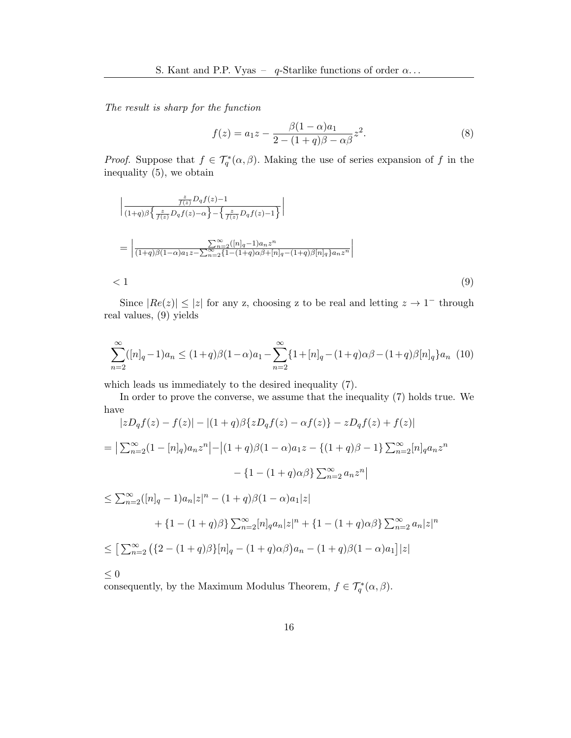The result is sharp for the function

<span id="page-3-1"></span><span id="page-3-0"></span>
$$
f(z) = a_1 z - \frac{\beta (1 - \alpha) a_1}{2 - (1 + q)\beta - \alpha \beta} z^2.
$$
 (8)

*Proof.* Suppose that  $f \in \mathcal{T}_q^*(\alpha, \beta)$ . Making the use of series expansion of f in the inequality [\(5\)](#page-2-0), we obtain

$$
\left| \frac{\frac{z}{f(z)} D_q f(z) - 1}{(1+q)\beta \left\{ \frac{z}{f(z)} D_q f(z) - \alpha \right\} - \left\{ \frac{z}{f(z)} D_q f(z) - 1 \right\}} \right|
$$
\n
$$
= \left| \frac{\sum_{n=2}^{\infty} ([n]_q - 1)a_n z^n}{(1+q)\beta (1-\alpha)a_1 z - \sum_{n=2}^{\infty} \left\{ 1 - (1+q)a_1 \beta + [n]_q - (1+q)\beta [n]_q \right\} a_n z^n} \right|
$$
\n
$$
< 1
$$
\n(9)

Since  $|Re(z)| \le |z|$  for any z, choosing z to be real and letting  $z \to 1^-$  through real values, [\(9\)](#page-3-0) yields

$$
\sum_{n=2}^{\infty} ([n]_q - 1)a_n \le (1+q)\beta(1-\alpha)a_1 - \sum_{n=2}^{\infty} \{1 + [n]_q - (1+q)\alpha\beta - (1+q)\beta[n]_q\}a_n
$$
(10)

which leads us immediately to the desired inequality [\(7\)](#page-2-2).

In order to prove the converse, we assume that the inequality [\(7\)](#page-2-2) holds true. We have

$$
|zD_q f(z) - f(z)| - |(1+q)\beta\{zD_q f(z) - \alpha f(z)\} - zD_q f(z) + f(z)|
$$
  
\n
$$
= |\sum_{n=2}^{\infty} (1 - [n]_q) a_n z^n| - |(1+q)\beta(1-\alpha)a_1 z - \{(1+q)\beta - 1\} \sum_{n=2}^{\infty} [n]_q a_n z^n
$$
  
\n
$$
- \{1 - (1+q)\alpha\beta\} \sum_{n=2}^{\infty} a_n z^n|
$$
  
\n
$$
\leq \sum_{n=2}^{\infty} ([n]_q - 1) a_n |z|^n - (1+q)\beta(1-\alpha)a_1 |z|
$$
  
\n
$$
+ \{1 - (1+q)\beta\} \sum_{n=2}^{\infty} [n]_q a_n |z|^n + \{1 - (1+q)\alpha\beta\} \sum_{n=2}^{\infty} a_n |z|^n
$$
  
\n
$$
\leq [\sum_{n=2}^{\infty} (\{2 - (1+q)\beta\}]n]_q - (1+q)\alpha\beta)a_n - (1+q)\beta(1-\alpha)a_1] |z|
$$
  
\n
$$
\leq 0
$$

consequently, by the Maximum Modulus Theorem,  $f \in \mathcal{T}_q^*(\alpha,\beta)$ .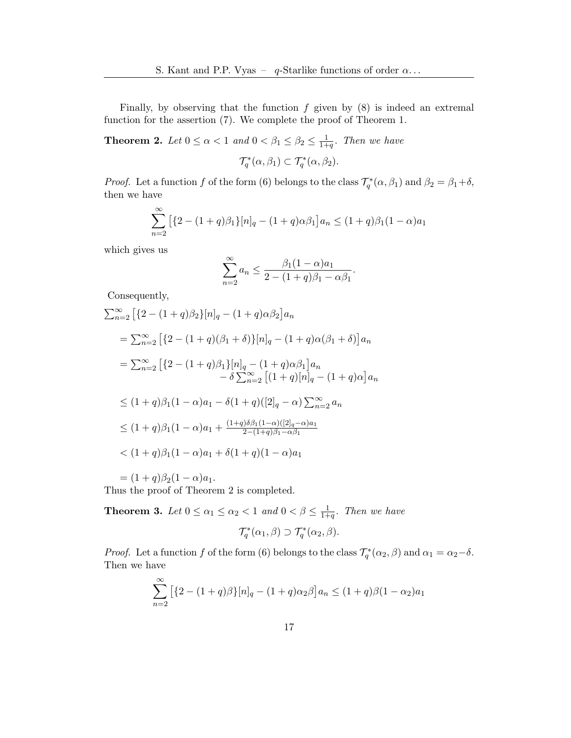Finally, by observing that the function  $f$  given by  $(8)$  is indeed an extremal function for the assertion [\(7\)](#page-2-2). We complete the proof of Theorem [1.](#page-2-3)

<span id="page-4-0"></span>**Theorem 2.** Let  $0 \le \alpha < 1$  and  $0 < \beta_1 \le \beta_2 \le \frac{1}{1+1}$  $\frac{1}{1+q}$ . Then we have  $\mathcal{T}_q^*(\alpha,\beta_1) \subset \mathcal{T}_q^*(\alpha,\beta_2).$ 

*Proof.* Let a function f of the form [\(6\)](#page-2-1) belongs to the class  $\mathcal{T}_q^*(\alpha, \beta_1)$  and  $\beta_2 = \beta_1 + \delta$ , then we have

$$
\sum_{n=2}^{\infty} \left[ \{2 - (1+q)\beta_1\} [n]_q - (1+q)\alpha \beta_1 \right] a_n \le (1+q)\beta_1 (1-\alpha) a_1
$$

which gives us

$$
\sum_{n=2}^{\infty} a_n \le \frac{\beta_1 (1 - \alpha) a_1}{2 - (1 + q)\beta_1 - \alpha \beta_1}.
$$

Consequently,

$$
\sum_{n=2}^{\infty} \left[ \{2 - (1+q)\beta_2\} [n]_q - (1+q)\alpha \beta_2 \right] a_n
$$
  
\n
$$
= \sum_{n=2}^{\infty} \left[ \{2 - (1+q)(\beta_1 + \delta)\} [n]_q - (1+q)\alpha(\beta_1 + \delta) \right] a_n
$$
  
\n
$$
= \sum_{n=2}^{\infty} \left[ \{2 - (1+q)\beta_1\} [n]_q - (1+q)\alpha \beta_1 \right] a_n
$$
  
\n
$$
- \delta \sum_{n=2}^{\infty} \left[ (1+q)[n]_q - (1+q)\alpha \right] a_n
$$
  
\n
$$
\leq (1+q)\beta_1 (1-\alpha)a_1 - \delta(1+q)([2]_q - \alpha) \sum_{n=2}^{\infty} a_n
$$
  
\n
$$
\leq (1+q)\beta_1 (1-\alpha)a_1 + \frac{(1+q)\delta\beta_1 (1-\alpha)([2]_q - \alpha)a_1}{2 - (1+q)\beta_1 - \alpha \beta_1}
$$
  
\n
$$
< (1+q)\beta_1 (1-\alpha)a_1 + \delta(1+q)(1-\alpha)a_1
$$
  
\n
$$
= (1+q)\beta_2 (1-\alpha)a_1.
$$

Thus the proof of Theorem [2](#page-4-0) is completed.

 $\sim$ 

<span id="page-4-1"></span>**Theorem 3.** Let  $0 \leq \alpha_1 \leq \alpha_2 < 1$  and  $0 < \beta \leq \frac{1}{1+\alpha}$  $\frac{1}{1+q}$ . Then we have  $\mathcal{T}_q^*(\alpha_1,\beta) \supset \mathcal{T}_q^*(\alpha_2,\beta).$ 

*Proof.* Let a function f of the form [\(6\)](#page-2-1) belongs to the class  $\mathcal{T}_q^*(\alpha_2, \beta)$  and  $\alpha_1 = \alpha_2 - \delta$ . Then we have

$$
\sum_{n=2}^{\infty} \left[ \{2 - (1+q)\beta\} [n]_q - (1+q)\alpha_2 \beta \right] a_n \le (1+q)\beta (1-\alpha_2)a_1
$$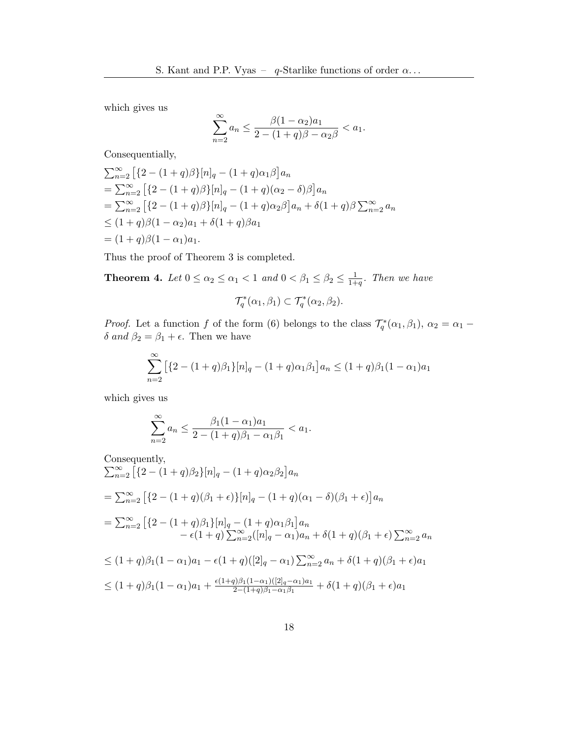which gives us

$$
\sum_{n=2}^{\infty} a_n \le \frac{\beta (1 - \alpha_2) a_1}{2 - (1 + q)\beta - \alpha_2 \beta} < a_1.
$$

Consequentially,

$$
\sum_{n=2}^{\infty} \left[ \{2 - (1+q)\beta\} [n]_q - (1+q)\alpha_1 \beta \right] a_n
$$
  
= 
$$
\sum_{n=2}^{\infty} \left[ \{2 - (1+q)\beta\} [n]_q - (1+q)(\alpha_2 - \delta)\beta \right] a_n
$$
  
= 
$$
\sum_{n=2}^{\infty} \left[ \{2 - (1+q)\beta\} [n]_q - (1+q)\alpha_2 \beta \right] a_n + \delta(1+q)\beta \sum_{n=2}^{\infty} a_n
$$
  

$$
\leq (1+q)\beta(1-\alpha_2)a_1 + \delta(1+q)\beta a_1
$$
  
= 
$$
(1+q)\beta(1-\alpha_1)a_1.
$$

Thus the proof of Theorem [3](#page-4-1) is completed.

<span id="page-5-0"></span>**Theorem 4.** Let  $0 \le \alpha_2 \le \alpha_1 < 1$  and  $0 < \beta_1 \le \beta_2 \le \frac{1}{1+1}$  $\frac{1}{1+q}$ . Then we have

$$
\mathcal{T}_q^*(\alpha_1,\beta_1) \subset \mathcal{T}_q^*(\alpha_2,\beta_2).
$$

*Proof.* Let a function f of the form [\(6\)](#page-2-1) belongs to the class  $\mathcal{T}_q^*(\alpha_1, \beta_1)$ ,  $\alpha_2 = \alpha_1 - \beta_2$ δ and  $β_2 = β_1 + ε$ . Then we have

$$
\sum_{n=2}^{\infty} \left[ \{2 - (1+q)\beta_1\} [n]_q - (1+q)\alpha_1\beta_1 \right] a_n \le (1+q)\beta_1(1-\alpha_1)a_1
$$

which gives us

$$
\sum_{n=2}^{\infty} a_n \le \frac{\beta_1 (1 - \alpha_1) a_1}{2 - (1 + q)\beta_1 - \alpha_1 \beta_1} < a_1.
$$

Consequently,  
\n
$$
\sum_{n=2}^{\infty} \left[ \{2 - (1+q)\beta_2\} [n]_q - (1+q)\alpha_2 \beta_2 \right] a_n
$$
\n
$$
= \sum_{n=2}^{\infty} \left[ \{2 - (1+q)(\beta_1 + \epsilon)\} [n]_q - (1+q)(\alpha_1 - \delta)(\beta_1 + \epsilon) \right] a_n
$$
\n
$$
= \sum_{n=2}^{\infty} \left[ \{2 - (1+q)\beta_1\} [n]_q - (1+q)\alpha_1 \beta_1 \right] a_n
$$
\n
$$
- \epsilon (1+q) \sum_{n=2}^{\infty} ([n]_q - \alpha_1) a_n + \delta (1+q)(\beta_1 + \epsilon) \sum_{n=2}^{\infty} a_n
$$
\n
$$
\leq (1+q)\beta_1 (1-\alpha_1) a_1 - \epsilon (1+q) ([2]_q - \alpha_1) \sum_{n=2}^{\infty} a_n + \delta (1+q)(\beta_1 + \epsilon) a_1
$$
\n
$$
\leq (1+q)\beta_1 (1-\alpha_1) a_1 + \frac{\epsilon (1+q)\beta_1 (1-\alpha_1) ([2]_q - \alpha_1) a_1}{2 - (1+q)\beta_1 - \alpha_1 \beta_1} + \delta (1+q)(\beta_1 + \epsilon) a_1
$$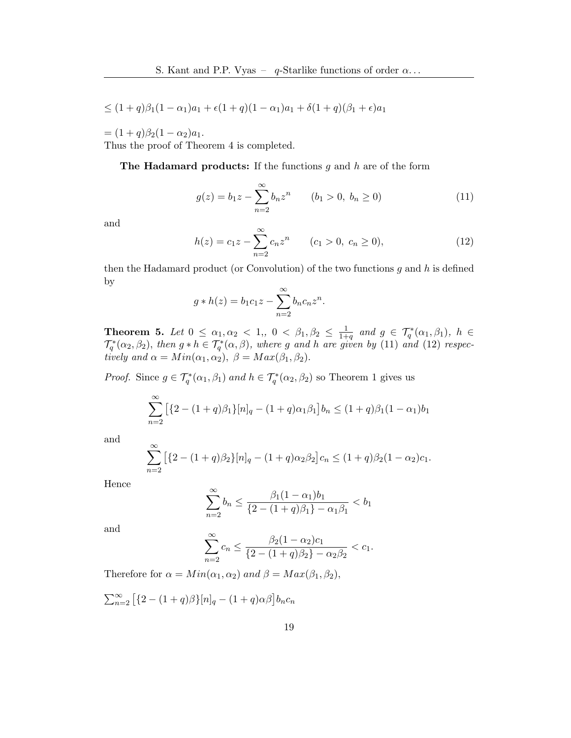$$
\leq (1+q)\beta_1(1-\alpha_1)a_1 + \epsilon(1+q)(1-\alpha_1)a_1 + \delta(1+q)(\beta_1+\epsilon)a_1
$$

 $= (1+q)\beta_2(1-\alpha_2)a_1.$ 

Thus the proof of Theorem [4](#page-5-0) is completed.

The Hadamard products: If the functions  $g$  and  $h$  are of the form

<span id="page-6-0"></span>
$$
g(z) = b_1 z - \sum_{n=2}^{\infty} b_n z^n \qquad (b_1 > 0, \ b_n \ge 0)
$$
 (11)

and

<span id="page-6-1"></span>
$$
h(z) = c_1 z - \sum_{n=2}^{\infty} c_n z^n \qquad (c_1 > 0, \ c_n \ge 0), \tag{12}
$$

then the Hadamard product (or Convolution) of the two functions  $g$  and  $h$  is defined by

$$
g * h(z) = b_1 c_1 z - \sum_{n=2}^{\infty} b_n c_n z^n
$$
.

**Theorem 5.** Let  $0 \leq \alpha_1, \alpha_2 < 1,$ ,  $0 < \beta_1, \beta_2 \leq \frac{1}{1+1}$  $\frac{1}{1+q}$  and  $g \in \mathcal{T}_q^*(\alpha_1,\beta_1), h \in$  $\mathcal{T}_q^*(\alpha_2,\beta_2)$ , then  $g * h \in \mathcal{T}_q^*(\alpha,\beta)$ , where g and h are given by [\(11\)](#page-6-0) and [\(12\)](#page-6-1) respectively and  $\alpha = Min(\alpha_1, \alpha_2), \ \beta = Max(\beta_1, \beta_2).$ 

*Proof.* Since  $g \in \mathcal{T}_q^*(\alpha_1, \beta_1)$  and  $h \in \mathcal{T}_q^*(\alpha_2, \beta_2)$  so Theorem [1](#page-2-3) gives us

$$
\sum_{n=2}^{\infty} \left[ \{2 - (1+q)\beta_1\} [n]_q - (1+q)\alpha_1\beta_1 \right] b_n \le (1+q)\beta_1(1-\alpha_1)b_1
$$

and

$$
\sum_{n=2}^{\infty} \left[ \{2 - (1+q)\beta_2\} [n]_q - (1+q)\alpha_2 \beta_2 \right] c_n \le (1+q)\beta_2 (1-\alpha_2)c_1.
$$

Hence

$$
\sum_{n=2}^{\infty} b_n \le \frac{\beta_1 (1 - \alpha_1) b_1}{\{2 - (1 + q)\beta_1\} - \alpha_1 \beta_1} < b_1
$$

and

$$
\sum_{n=2}^{\infty} c_n \le \frac{\beta_2 (1 - \alpha_2) c_1}{\{2 - (1 + q)\beta_2\} - \alpha_2 \beta_2} < c_1.
$$

Therefore for  $\alpha = Min(\alpha_1, \alpha_2)$  and  $\beta = Max(\beta_1, \beta_2)$ ,

 $\sum_{n=2}^{\infty} \left[ \{2 - (1+q)\beta\} [n]_q - (1+q)\alpha\beta \right] b_n c_n$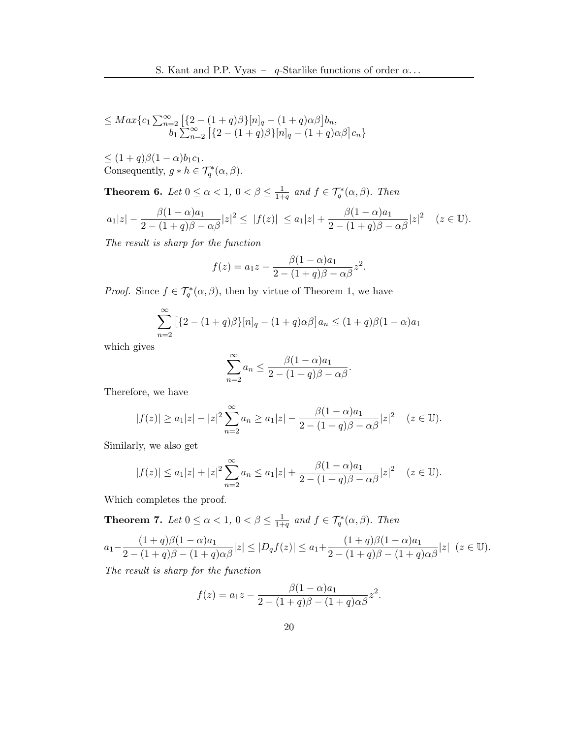$$
\leq Max\{c_1 \sum_{n=2}^{\infty} \left[ \{2 - (1+q)\beta\} [n]_q - (1+q)\alpha\beta \right] b_n, b_1 \sum_{n=2}^{\infty} \left[ \{2 - (1+q)\beta\} [n]_q - (1+q)\alpha\beta \right] c_n \}
$$

 $\leq (1+q)\beta(1-\alpha)b_1c_1.$ Consequently,  $g * h \in \mathcal{T}_q^*(\alpha, \beta)$ .

**Theorem 6.** Let  $0 \leq \alpha < 1, 0 < \beta \leq \frac{1}{1+\alpha}$  $\frac{1}{1+q}$  and  $f \in \mathcal{T}_q^*(\alpha,\beta)$ . Then

$$
a_1|z| - \frac{\beta(1-\alpha)a_1}{2 - (1+q)\beta - \alpha\beta}|z|^2 \le |f(z)| \le a_1|z| + \frac{\beta(1-\alpha)a_1}{2 - (1+q)\beta - \alpha\beta}|z|^2 \quad (z \in \mathbb{U}).
$$

The result is sharp for the function

$$
f(z) = a_1 z - \frac{\beta (1 - \alpha) a_1}{2 - (1 + q)\beta - \alpha \beta} z^2.
$$

*Proof.* Since  $f \in \mathcal{T}_q^*(\alpha, \beta)$ , then by virtue of Theorem [1,](#page-2-3) we have

$$
\sum_{n=2}^{\infty} \left[ \{2 - (1+q)\beta\} [n]_q - (1+q)\alpha\beta \right] a_n \le (1+q)\beta (1-\alpha)a_1
$$

which gives

$$
\sum_{n=2}^{\infty} a_n \le \frac{\beta(1-\alpha)a_1}{2 - (1+q)\beta - \alpha\beta}.
$$

Therefore, we have

$$
|f(z)| \ge a_1 |z| - |z|^2 \sum_{n=2}^{\infty} a_n \ge a_1 |z| - \frac{\beta (1 - \alpha) a_1}{2 - (1 + q)\beta - \alpha \beta} |z|^2 \quad (z \in \mathbb{U}).
$$

Similarly, we also get

$$
|f(z)| \le a_1 |z| + |z|^2 \sum_{n=2}^{\infty} a_n \le a_1 |z| + \frac{\beta (1 - \alpha) a_1}{2 - (1 + q)\beta - \alpha \beta} |z|^2 \quad (z \in \mathbb{U}).
$$

Which completes the proof.

**Theorem 7.** Let  $0 \leq \alpha < 1, 0 < \beta \leq \frac{1}{1+\alpha}$  $\frac{1}{1+q}$  and  $f \in \mathcal{T}_q^*(\alpha,\beta)$ . Then

$$
a_1 - \frac{(1+q)\beta(1-\alpha)a_1}{2 - (1+q)\beta - (1+q)\alpha\beta}|z| \le |D_q f(z)| \le a_1 + \frac{(1+q)\beta(1-\alpha)a_1}{2 - (1+q)\beta - (1+q)\alpha\beta}|z| \ (z \in \mathbb{U}).
$$

The result is sharp for the function

$$
f(z) = a_1 z - \frac{\beta (1 - \alpha) a_1}{2 - (1 + q)\beta - (1 + q)\alpha \beta} z^2.
$$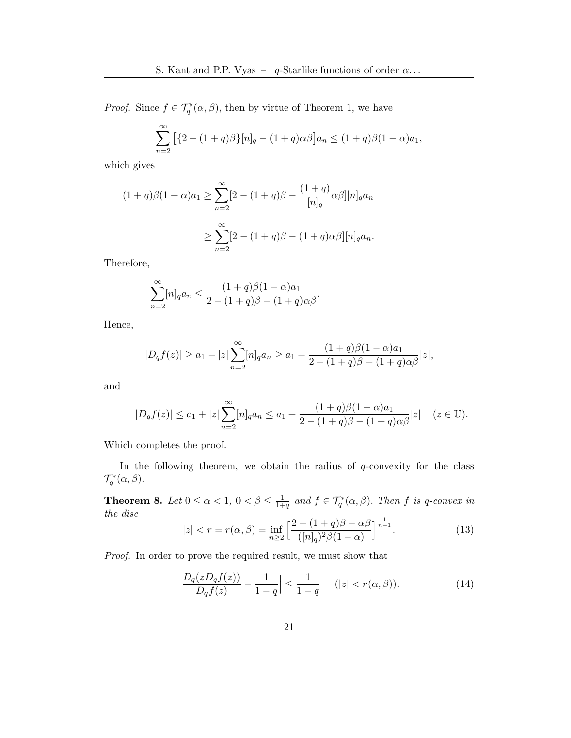*Proof.* Since  $f \in \mathcal{T}_q^*(\alpha, \beta)$ , then by virtue of Theorem [1,](#page-2-3) we have

$$
\sum_{n=2}^{\infty} \left[ \{2 - (1+q)\beta\} [n]_q - (1+q)\alpha \beta \right] a_n \le (1+q)\beta (1-\alpha)a_1,
$$

which gives

$$
(1+q)\beta(1-\alpha)a_1 \ge \sum_{n=2}^{\infty} [2 - (1+q)\beta - \frac{(1+q)}{[n]_q} \alpha \beta][n]_q a_n
$$

$$
\ge \sum_{n=2}^{\infty} [2 - (1+q)\beta - (1+q)\alpha \beta][n]_q a_n.
$$

Therefore,

$$
\sum_{n=2}^{\infty} [n]_q a_n \le \frac{(1+q)\beta(1-\alpha)a_1}{2 - (1+q)\beta - (1+q)\alpha\beta}.
$$

Hence,

$$
|D_q f(z)| \ge a_1 - |z| \sum_{n=2}^{\infty} [n]_q a_n \ge a_1 - \frac{(1+q)\beta(1-\alpha)a_1}{2 - (1+q)\beta - (1+q)\alpha\beta}|z|,
$$

and

$$
|D_q f(z)| \le a_1 + |z| \sum_{n=2}^{\infty} [n]_q a_n \le a_1 + \frac{(1+q)\beta(1-\alpha)a_1}{2 - (1+q)\beta - (1+q)\alpha\beta}|z| \quad (z \in \mathbb{U}).
$$

Which completes the proof.

In the following theorem, we obtain the radius of  $q$ -convexity for the class  $\mathcal{T}_q^*(\alpha,\beta).$ 

**Theorem 8.** Let  $0 \leq \alpha < 1, 0 < \beta \leq \frac{1}{1+\alpha}$  $\frac{1}{1+q}$  and  $f \in \mathcal{T}_q^*(\alpha, \beta)$ . Then f is q-convex in the disc

$$
|z| < r = r(\alpha, \beta) = \inf_{n \ge 2} \left[ \frac{2 - (1 + q)\beta - \alpha\beta}{([n]_q)^2 \beta (1 - \alpha)} \right]^{\frac{1}{n - 1}}. \tag{13}
$$

Proof. In order to prove the required result, we must show that

<span id="page-8-0"></span>
$$
\left|\frac{D_q(zD_qf(z))}{D_qf(z)} - \frac{1}{1-q}\right| \le \frac{1}{1-q} \quad (|z| < r(\alpha, \beta)).\tag{14}
$$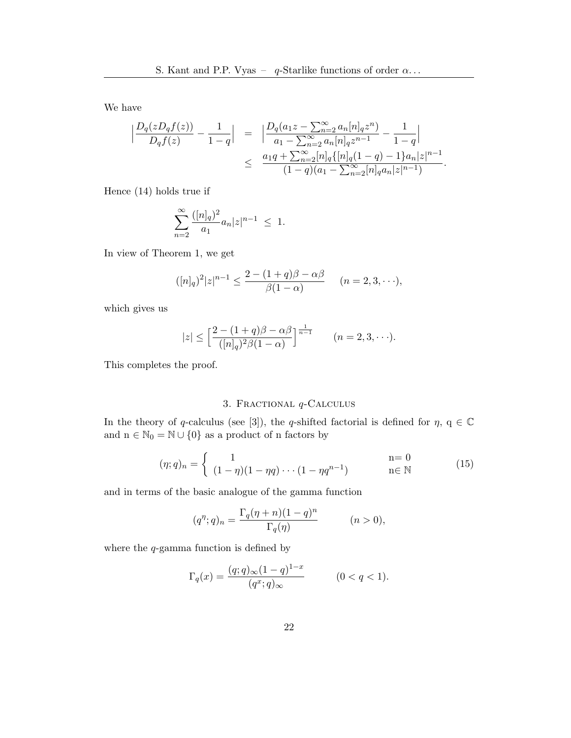We have

$$
\begin{array}{rcl} \displaystyle \Big| \frac{D_q(zD_qf(z))}{D_qf(z)} - \frac{1}{1-q} \Big| & = & \displaystyle \Big| \frac{D_q(a_1z - \sum_{n=2}^{\infty}a_n[n]_qz^n)}{a_1 - \sum_{n=2}^{\infty}a_n[n]_qz^{n-1}} - \frac{1}{1-q} \Big| \\ & \leq & \displaystyle \frac{a_1q + \sum_{n=2}^{\infty}[n]_q\{[n]_q(1-q) -1\}a_n|z|^{n-1}}{(1-q)(a_1 - \sum_{n=2}^{\infty}[n]_q a_n|z|^{n-1})}. \end{array}
$$

Hence [\(14\)](#page-8-0) holds true if

$$
\sum_{n=2}^{\infty} \frac{([n]_q)^2}{a_1} a_n |z|^{n-1} \leq 1.
$$

In view of Theorem [1,](#page-2-3) we get

$$
([n]_q)^2 |z|^{n-1} \le \frac{2 - (1+q)\beta - \alpha\beta}{\beta(1-\alpha)} \qquad (n = 2, 3, \cdots),
$$

which gives us

$$
|z| \le \left[\frac{2-(1+q)\beta-\alpha\beta}{([n]_q)^2\beta(1-\alpha)}\right]^{\frac{1}{n-1}} \qquad (n=2,3,\cdots).
$$

This completes the proof.

# 3. Fractional q-Calculus

In the theory of q-calculus (see [\[3\]](#page-13-0)), the q-shifted factorial is defined for  $\eta$ ,  $q \in \mathbb{C}$ and  $n\in\mathbb{N}_0=\mathbb{N}\cup\{0\}$  as a product of  $n$  factors by

<span id="page-9-0"></span>
$$
(\eta; q)_n = \begin{cases} 1 & \text{ } \text{ } \text{n = 0} \\ (1 - \eta)(1 - \eta q) \cdots (1 - \eta q^{n-1}) & \text{ } \text{ } \text{n \in \mathbb{N}} \end{cases}
$$
 (15)

and in terms of the basic analogue of the gamma function

$$
(q^{\eta}; q)_n = \frac{\Gamma_q(\eta + n)(1 - q)^n}{\Gamma_q(\eta)} \qquad (n > 0),
$$

where the  $q$ -gamma function is defined by

$$
\Gamma_q(x) = \frac{(q;q)_{\infty}(1-q)^{1-x}}{(q^x;q)_{\infty}} \quad (0 < q < 1).
$$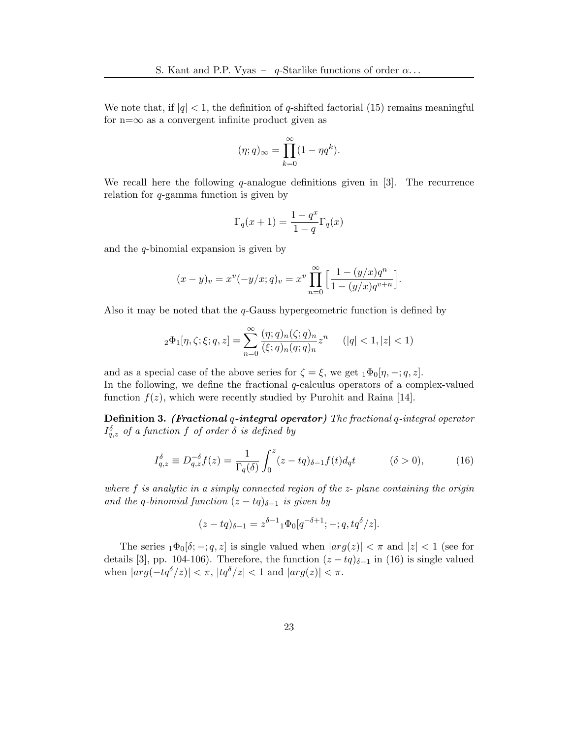We note that, if  $|q| < 1$ , the definition of q-shifted factorial [\(15\)](#page-9-0) remains meaningful for  $n=\infty$  as a convergent infinite product given as

$$
(\eta;q)_{\infty} = \prod_{k=0}^{\infty} (1 - \eta q^k).
$$

We recall here the following  $q$ -analogue definitions given in [\[3\]](#page-13-0). The recurrence relation for q-gamma function is given by

$$
\Gamma_q(x+1) = \frac{1-q^x}{1-q} \Gamma_q(x)
$$

and the  $q$ -binomial expansion is given by

$$
(x - y)_v = x^v(-y/x; q)_v = x^v \prod_{n=0}^{\infty} \left[ \frac{1 - (y/x)q^n}{1 - (y/x)q^{v+n}} \right].
$$

Also it may be noted that the  $q$ -Gauss hypergeometric function is defined by

$$
{}_2\Phi_1[\eta, \zeta; \xi; q, z] = \sum_{n=0}^{\infty} \frac{(\eta; q)_n(\zeta; q)_n}{(\xi; q)_n(q; q)_n} z^n \qquad (|q| < 1, |z| < 1)
$$

and as a special case of the above series for  $\zeta = \xi$ , we get  $_1\Phi_0[\eta, -; q, z]$ . In the following, we define the fractional  $q$ -calculus operators of a complex-valued function  $f(z)$ , which were recently studied by Purohit and Raina [\[14\]](#page-14-3).

Definition 3. (Fractional q-integral operator) The fractional q-integral operator  $I_{q,z}^{\delta}$  of a function f of order  $\delta$  is defined by

<span id="page-10-0"></span>
$$
I_{q,z}^{\delta} \equiv D_{q,z}^{-\delta} f(z) = \frac{1}{\Gamma_q(\delta)} \int_0^z (z - tq)_{\delta - 1} f(t) d_q t \qquad (\delta > 0), \qquad (16)
$$

where f is analytic in a simply connected region of the z- plane containing the origin and the q-binomial function  $(z - tq)_{\delta-1}$  is given by

$$
(z - tq)_{\delta - 1} = z^{\delta - 1} {}_1\Phi_0[q^{-\delta + 1}; -; q, tq^{\delta}/z].
$$

The series  $_1\Phi_0[\delta; -; q, z]$  is single valued when  $|arg(z)| < \pi$  and  $|z| < 1$  (see for details [\[3\]](#page-13-0), pp. 104-106). Therefore, the function  $(z - tq)_{\delta-1}$  in [\(16\)](#page-10-0) is single valued when  $|arg(-tq^{\delta}/z)| < \pi$ ,  $|tq^{\delta}/z| < 1$  and  $|arg(z)| < \pi$ .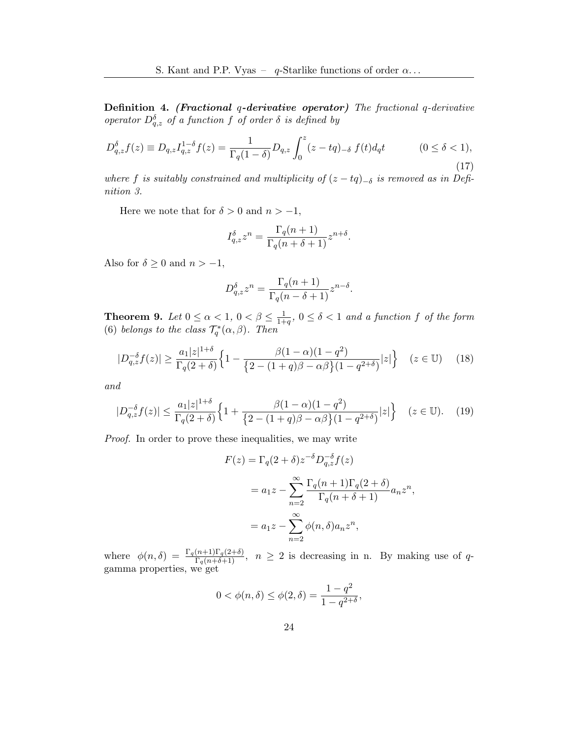Definition 4. (Fractional q-derivative operator) The fractional q-derivative operator  $D_{q,z}^{\delta}$  of a function f of order  $\delta$  is defined by

$$
D_{q,z}^{\delta}f(z) \equiv D_{q,z}I_{q,z}^{1-\delta}f(z) = \frac{1}{\Gamma_q(1-\delta)}D_{q,z}\int_0^z (z-tq)_{-\delta} f(t)d_qt \qquad (0 \le \delta < 1),
$$
\n(17)

where f is suitably constrained and multiplicity of  $(z - tq)_{-\delta}$  is removed as in Definition 3.

Here we note that for  $\delta > 0$  and  $n > -1$ ,

$$
I_{q,z}^{\delta} z^n = \frac{\Gamma_q(n+1)}{\Gamma_q(n+\delta+1)} z^{n+\delta}.
$$

Also for  $\delta \geq 0$  and  $n > -1$ ,

$$
D_{q,z}^{\delta} z^n = \frac{\Gamma_q(n+1)}{\Gamma_q(n-\delta+1)} z^{n-\delta}.
$$

**Theorem 9.** Let  $0 \leq \alpha < 1, 0 < \beta \leq \frac{1}{1+\alpha}$  $\frac{1}{1+q}$ ,  $0 \le \delta < 1$  and a function f of the form [\(6\)](#page-2-1) belongs to the class  $\mathcal{T}_q^*(\alpha,\beta)$ . Then

$$
|D_{q,z}^{-\delta}f(z)| \ge \frac{a_1|z|^{1+\delta}}{\Gamma_q(2+\delta)} \Big\{ 1 - \frac{\beta(1-\alpha)(1-q^2)}{\{2-(1+q)\beta - \alpha\beta\}(1-q^{2+\delta})}|z| \Big\} \quad (z \in \mathbb{U}) \quad (18)
$$

and

$$
|D_{q,z}^{-\delta}f(z)| \le \frac{a_1|z|^{1+\delta}}{\Gamma_q(2+\delta)} \Big\{ 1 + \frac{\beta(1-\alpha)(1-q^2)}{\{2-(1+q)\beta - \alpha\beta\}(1-q^{2+\delta})}|z| \Big\} \quad (z \in \mathbb{U}). \tag{19}
$$

Proof. In order to prove these inequalities, we may write

$$
F(z) = \Gamma_q(2+\delta)z^{-\delta}D_{q,z}^{-\delta}f(z)
$$
  
=  $a_1z - \sum_{n=2}^{\infty} \frac{\Gamma_q(n+1)\Gamma_q(2+\delta)}{\Gamma_q(n+\delta+1)} a_n z^n$ ,  
=  $a_1z - \sum_{n=2}^{\infty} \phi(n,\delta) a_n z^n$ ,

where  $\phi(n,\delta) = \frac{\Gamma_q(n+1)\Gamma_q(2+\delta)}{\Gamma_q(n+\delta+1)}$ ,  $n \geq 2$  is decreasing in n. By making use of qgamma properties, we get

$$
0 < \phi(n,\delta) \le \phi(2,\delta) = \frac{1-q^2}{1-q^{2+\delta}},
$$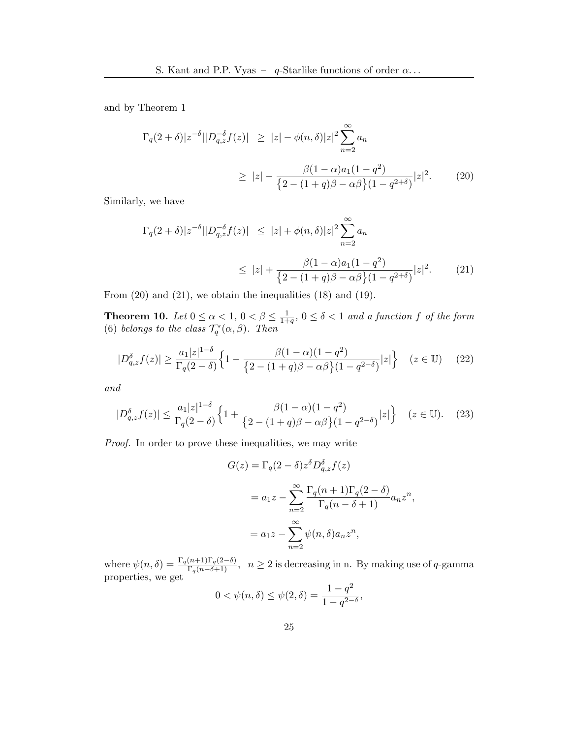and by Theorem [1](#page-2-3)

$$
\Gamma_q(2+\delta)|z^{-\delta}||D_{q,z}^{-\delta}f(z)| \ge |z| - \phi(n,\delta)|z|^2 \sum_{n=2}^{\infty} a_n
$$
  
 
$$
\ge |z| - \frac{\beta(1-\alpha)a_1(1-q^2)}{\left\{2 - (1+q)\beta - \alpha\beta\right\}(1-q^{2+\delta})}|z|^2. \tag{20}
$$

Similarly, we have

$$
\Gamma_q(2+\delta)|z^{-\delta}||D_{q,z}^{-\delta}f(z)| \le |z| + \phi(n,\delta)|z|^2 \sum_{n=2}^{\infty} a_n
$$
  
 
$$
\le |z| + \frac{\beta(1-\alpha)a_1(1-q^2)}{\{2-(1+q)\beta-\alpha\beta\}(1-q^{2+\delta})}|z|^2. \tag{21}
$$

From  $(20)$  and  $(21)$ , we obtain the inequalities  $(18)$  and  $(19)$ .

**Theorem 10.** Let  $0 \leq \alpha < 1$ ,  $0 < \beta \leq \frac{1}{1+\alpha}$  $\frac{1}{1+q}$ ,  $0 \le \delta < 1$  and a function f of the form [\(6\)](#page-2-1) belongs to the class  $\mathcal{T}_q^*(\alpha,\beta)$ . Then

$$
|D_{q,z}^{\delta}f(z)| \ge \frac{a_1|z|^{1-\delta}}{\Gamma_q(2-\delta)} \Big\{ 1 - \frac{\beta(1-\alpha)(1-q^2)}{\{2-(1+q)\beta - \alpha\beta\}(1-q^{2-\delta})}|z| \Big\} \quad (z \in \mathbb{U}) \tag{22}
$$

and

$$
|D_{q,z}^{\delta}f(z)| \le \frac{a_1|z|^{1-\delta}}{\Gamma_q(2-\delta)} \Big\{ 1 + \frac{\beta(1-\alpha)(1-q^2)}{\{2-(1+q)\beta - \alpha\beta\}(1-q^{2-\delta})}|z| \Big\} \quad (z \in \mathbb{U}). \tag{23}
$$

Proof. In order to prove these inequalities, we may write

$$
G(z) = \Gamma_q(2-\delta)z^{\delta}D_{q,z}^{\delta}f(z)
$$
  
=  $a_1z - \sum_{n=2}^{\infty} \frac{\Gamma_q(n+1)\Gamma_q(2-\delta)}{\Gamma_q(n-\delta+1)}a_nz^n$ ,  
=  $a_1z - \sum_{n=2}^{\infty} \psi(n,\delta)a_nz^n$ ,

where  $\psi(n,\delta) = \frac{\Gamma_q(n+1)\Gamma_q(2-\delta)}{\Gamma_q(n-\delta+1)}$ ,  $n \geq 2$  is decreasing in n. By making use of q-gamma properties, we get  $1 - a^2$ 

$$
0 < \psi(n, \delta) \le \psi(2, \delta) = \frac{1 - q^2}{1 - q^{2 - \delta}},
$$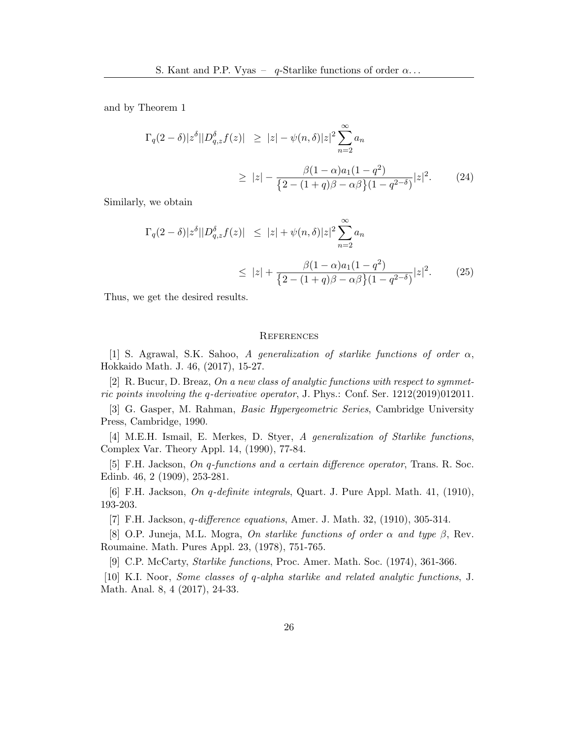and by Theorem [1](#page-2-3)

$$
\Gamma_q(2-\delta)|z^{\delta}||D_{q,z}^{\delta}f(z)| \geq |z| - \psi(n,\delta)|z|^2 \sum_{n=2}^{\infty} a_n
$$
  
 
$$
\geq |z| - \frac{\beta(1-\alpha)a_1(1-q^2)}{\left\{2 - (1+q)\beta - \alpha\beta\right\}(1-q^{2-\delta})}|z|^2. \tag{24}
$$

Similarly, we obtain

$$
\Gamma_q(2-\delta)|z^{\delta}||D_{q,z}^{\delta}f(z)| \leq |z| + \psi(n,\delta)|z|^2 \sum_{n=2}^{\infty} a_n
$$
  
 
$$
\leq |z| + \frac{\beta(1-\alpha)a_1(1-q^2)}{\{2 - (1+q)\beta - \alpha\beta\}(1-q^{2-\delta})}|z|^2.
$$
 (25)

Thus, we get the desired results.

#### **REFERENCES**

<span id="page-13-4"></span>[1] S. Agrawal, S.K. Sahoo, A generalization of starlike functions of order  $\alpha$ , Hokkaido Math. J. 46, (2017), 15-27.

<span id="page-13-7"></span>[2] R. Bucur, D. Breaz, On a new class of analytic functions with respect to symmetric points involving the q-derivative operator, J. Phys.: Conf. Ser. 1212(2019)012011.

<span id="page-13-0"></span>[3] G. Gasper, M. Rahman, Basic Hypergeometric Series, Cambridge University Press, Cambridge, 1990.

<span id="page-13-5"></span>[4] M.E.H. Ismail, E. Merkes, D. Styer, A generalization of Starlike functions, Complex Var. Theory Appl. 14, (1990), 77-84.

<span id="page-13-1"></span>[5] F.H. Jackson, On q-functions and a certain difference operator, Trans. R. Soc. Edinb. 46, 2 (1909), 253-281.

<span id="page-13-2"></span>[6] F.H. Jackson, On q-definite integrals, Quart. J. Pure Appl. Math. 41, (1910), 193-203.

<span id="page-13-3"></span>[7] F.H. Jackson, q-difference equations, Amer. J. Math. 32, (1910), 305-314.

<span id="page-13-6"></span>[8] O.P. Juneja, M.L. Mogra, On starlike functions of order  $\alpha$  and type  $\beta$ , Rev. Roumaine. Math. Pures Appl. 23, (1978), 751-765.

<span id="page-13-9"></span><span id="page-13-8"></span>[9] C.P. McCarty, Starlike functions, Proc. Amer. Math. Soc. (1974), 361-366.

[10] K.I. Noor, Some classes of q-alpha starlike and related analytic functions, J. Math. Anal. 8, 4 (2017), 24-33.